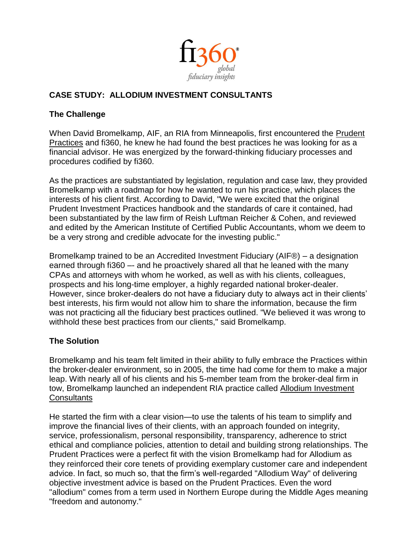

## **CASE STUDY: ALLODIUM INVESTMENT CONSULTANTS**

## **The Challenge**

When David Bromelkamp, AIF, an RIA from Minneapolis, first encountered the [Prudent](http://www.fi360.com/main/practices.jsp)  [Practices](http://www.fi360.com/main/practices.jsp) and fi360, he knew he had found the best practices he was looking for as a financial advisor. He was energized by the forward-thinking fiduciary processes and procedures codified by fi360.

As the practices are substantiated by legislation, regulation and case law, they provided Bromelkamp with a roadmap for how he wanted to run his practice, which places the interests of his client first. According to David, "We were excited that the original Prudent Investment Practices handbook and the standards of care it contained, had been substantiated by the law firm of Reish Luftman Reicher & Cohen, and reviewed and edited by the American Institute of Certified Public Accountants, whom we deem to be a very strong and credible advocate for the investing public."

Bromelkamp trained to be an Accredited Investment Fiduciary (AIF®) – a designation earned through fi360 – and he proactively shared all that he leaned with the many CPAs and attorneys with whom he worked, as well as with his clients, colleagues, prospects and his long-time employer, a highly regarded national broker-dealer. However, since broker-dealers do not have a fiduciary duty to always act in their clients' best interests, his firm would not allow him to share the information, because the firm was not practicing all the fiduciary best practices outlined. "We believed it was wrong to withhold these best practices from our clients," said Bromelkamp.

## **The Solution**

Bromelkamp and his team felt limited in their ability to fully embrace the Practices within the broker-dealer environment, so in 2005, the time had come for them to make a major leap. With nearly all of his clients and his 5-member team from the broker-deal firm in tow, Bromelkamp launched an independent RIA practice called [Allodium Investment](http://www.aicria.com/)  **[Consultants](http://www.aicria.com/)** 

He started the firm with a clear vision—to use the talents of his team to simplify and improve the financial lives of their clients, with an approach founded on integrity, service, professionalism, personal responsibility, transparency, adherence to strict ethical and compliance policies, attention to detail and building strong relationships. The Prudent Practices were a perfect fit with the vision Bromelkamp had for Allodium as they reinforced their core tenets of providing exemplary customer care and independent advice. In fact, so much so, that the firm's well-regarded "Allodium Way" of delivering objective investment advice is based on the Prudent Practices. Even the word "allodium" comes from a term used in Northern Europe during the Middle Ages meaning "freedom and autonomy."